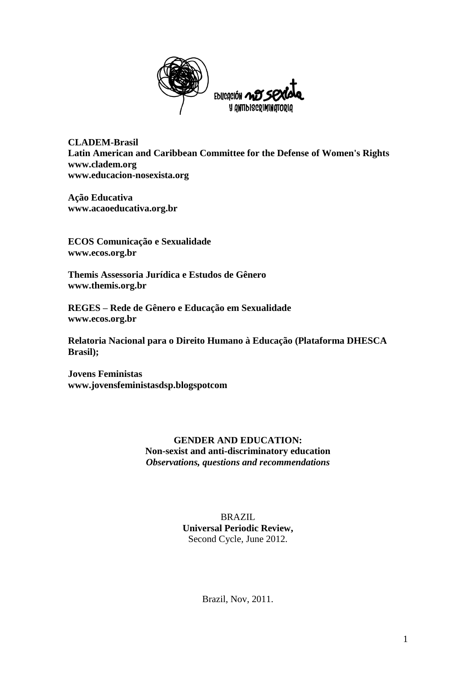

**CLADEM-Brasil Latin American and Caribbean Committee for the Defense of Women's Rights www.cladem.org www.educacion-nosexista.org**

**Ação Educativa www.acaoeducativa.org.br**

**ECOS Comunicação e Sexualidade www.ecos.org.br**

**Themis Assessoria Jurídica e Estudos de Gênero www.themis.org.br**

**REGES – Rede de Gênero e Educação em Sexualidade www.ecos.org.br**

**Relatoria Nacional para o Direito Humano à Educação (Plataforma DHESCA Brasil);** 

**Jovens Feministas www.jovensfeministasdsp.blogspotcom**

## **GENDER AND EDUCATION: Non-sexist and anti-discriminatory education** *Observations, questions and recommendations*

BRAZIL **Universal Periodic Review,** Second Cycle, June 2012.

Brazil, Nov, 2011.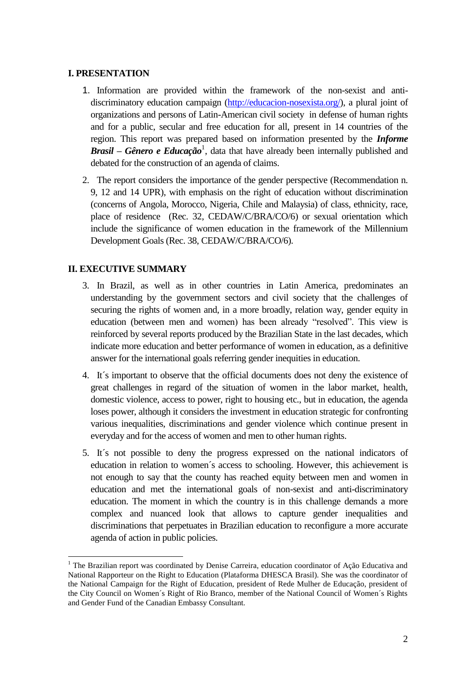## **I. PRESENTATION**

- 1. Information are provided within the framework of the non-sexist and antidiscriminatory education campaign [\(http://educacion-nosexista.org/\)](http://educacion-nosexista.org/), a plural joint of organizations and persons of Latin-American civil society in defense of human rights and for a public, secular and free education for all, present in 14 countries of the region. This report was prepared based on information presented by the *Informe*  **Brasil – Gênero e Educação**<sup>1</sup>, data that have already been internally published and debated for the construction of an agenda of claims.
- 2. The report considers the importance of the gender perspective (Recommendation n. 9, 12 and 14 UPR), with emphasis on the right of education without discrimination (concerns of Angola, Morocco, Nigeria, Chile and Malaysia) of class, ethnicity, race, place of residence (Rec. 32, CEDAW/C/BRA/CO/6) or sexual orientation which include the significance of women education in the framework of the Millennium Development Goals (Rec. 38, CEDAW/C/BRA/CO/6).

# **II. EXECUTIVE SUMMARY**

<u>.</u>

- 3. In Brazil, as well as in other countries in Latin America, predominates an understanding by the government sectors and civil society that the challenges of securing the rights of women and, in a more broadly, relation way, gender equity in education (between men and women) has been already "resolved". This view is reinforced by several reports produced by the Brazilian State in the last decades, which indicate more education and better performance of women in education, as a definitive answer for the international goals referring gender inequities in education.
- 4. It´s important to observe that the official documents does not deny the existence of great challenges in regard of the situation of women in the labor market, health, domestic violence, access to power, right to housing etc., but in education, the agenda loses power, although it considers the investment in education strategic for confronting various inequalities, discriminations and gender violence which continue present in everyday and for the access of women and men to other human rights.
- 5. It´s not possible to deny the progress expressed on the national indicators of education in relation to women´s access to schooling. However, this achievement is not enough to say that the county has reached equity between men and women in education and met the international goals of non-sexist and anti-discriminatory education. The moment in which the country is in this challenge demands a more complex and nuanced look that allows to capture gender inequalities and discriminations that perpetuates in Brazilian education to reconfigure a more accurate agenda of action in public policies.

<sup>&</sup>lt;sup>1</sup> The Brazilian report was coordinated by Denise Carreira, education coordinator of Ação Educativa and National Rapporteur on the Right to Education (Plataforma DHESCA Brasil). She was the coordinator of the National Campaign for the Right of Education, president of Rede Mulher de Educação, president of the City Council on Women´s Right of Rio Branco, member of the National Council of Women´s Rights and Gender Fund of the Canadian Embassy Consultant.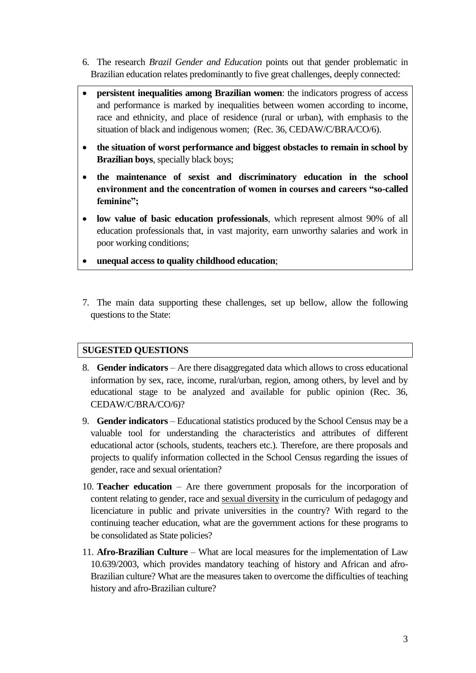- 6. The research *Brazil Gender and Education* points out that gender problematic in Brazilian education relates predominantly to five great challenges, deeply connected:
- **persistent inequalities among Brazilian women**: the indicators progress of access and performance is marked by inequalities between women according to income, race and ethnicity, and place of residence (rural or urban), with emphasis to the situation of black and indigenous women; (Rec. 36, CEDAW/C/BRA/CO/6).
- **the situation of worst performance and biggest obstacles to remain in school by Brazilian boys**, specially black boys;
- **the maintenance of sexist and discriminatory education in the school environment and the concentration of women in courses and careers "so-called feminine";**
- **low value of basic education professionals**, which represent almost 90% of all education professionals that, in vast majority, earn unworthy salaries and work in poor working conditions;
- **unequal access to quality childhood education**;
- 7. The main data supporting these challenges, set up bellow, allow the following questions to the State:

# **SUGESTED QUESTIONS**

- 8. **Gender indicators** Are there disaggregated data which allows to cross educational information by sex, race, income, rural/urban, region, among others, by level and by educational stage to be analyzed and available for public opinion (Rec. 36, CEDAW/C/BRA/CO/6)?
- 9. **Gender indicators** Educational statistics produced by the School Census may be a valuable tool for understanding the characteristics and attributes of different educational actor (schools, students, teachers etc.). Therefore, are there proposals and projects to qualify information collected in the School Census regarding the issues of gender, race and sexual orientation?
- 10. **Teacher education** Are there government proposals for the incorporation of content relating to gender, race and sexual diversity in the curriculum of pedagogy and licenciature in public and private universities in the country? With regard to the continuing teacher education, what are the government actions for these programs to be consolidated as State policies?
- 11. **Afro-Brazilian Culture** What are local measures for the implementation of Law 10.639/2003, which provides mandatory teaching of history and African and afro-Brazilian culture? What are the measures taken to overcome the difficulties of teaching history and afro-Brazilian culture?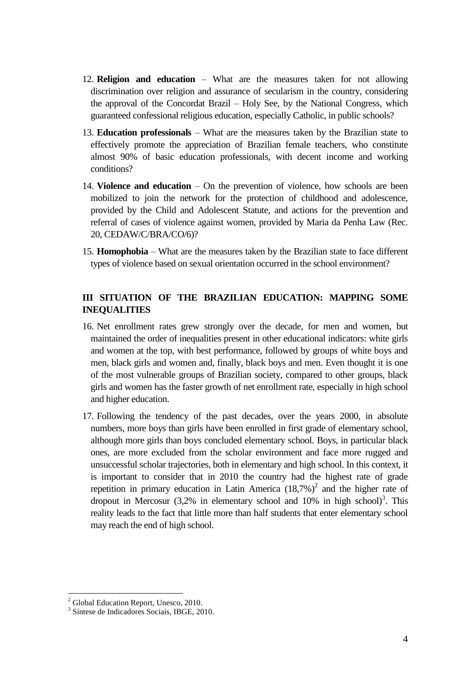- 12. **Religion and education**  What are the measures taken for not allowing discrimination over religion and assurance of secularism in the country, considering the approval of the Concordat Brazil – Holy See, by the National Congress, which guaranteed confessional religious education, especially Catholic, in public schools?
- 13. **Education professionals** What are the measures taken by the Brazilian state to effectively promote the appreciation of Brazilian female teachers, who constitute almost 90% of basic education professionals, with decent income and working conditions?
- 14. **Violence and education**  On the prevention of violence, how schools are been mobilized to join the network for the protection of childhood and adolescence, provided by the Child and Adolescent Statute, and actions for the prevention and referral of cases of violence against women, provided by Maria da Penha Law (Rec. 20, CEDAW/C/BRA/CO/6)?
- 15. **Homophobia** What are the measures taken by the Brazilian state to face different types of violence based on sexual orientation occurred in the school environment?

# **III SITUATION OF THE BRAZILIAN EDUCATION: MAPPING SOME INEQUALITIES**

- 16. Net enrollment rates grew strongly over the decade, for men and women, but maintained the order of inequalities present in other educational indicators: white girls and women at the top, with best performance, followed by groups of white boys and men, black girls and women and, finally, black boys and men. Even thought it is one of the most vulnerable groups of Brazilian society, compared to other groups, black girls and women has the faster growth of net enrollment rate, especially in high school and higher education.
- 17. Following the tendency of the past decades, over the years 2000, in absolute numbers, more boys than girls have been enrolled in first grade of elementary school, although more girls than boys concluded elementary school. Boys, in particular black ones, are more excluded from the scholar environment and face more rugged and unsuccessful scholar trajectories, both in elementary and high school. In this context, it is important to consider that in 2010 the country had the highest rate of grade repetition in primary education in Latin America  $(18,7%)^2$  and the higher rate of dropout in Mercosur  $(3,2%$  in elementary school and 10% in high school)<sup>3</sup>. This reality leads to the fact that little more than half students that enter elementary school may reach the end of high school.

<u>.</u>

<sup>&</sup>lt;sup>2</sup> Global Education Report, Unesco, 2010.

<sup>3</sup> Síntese de Indicadores Sociais, IBGE, 2010.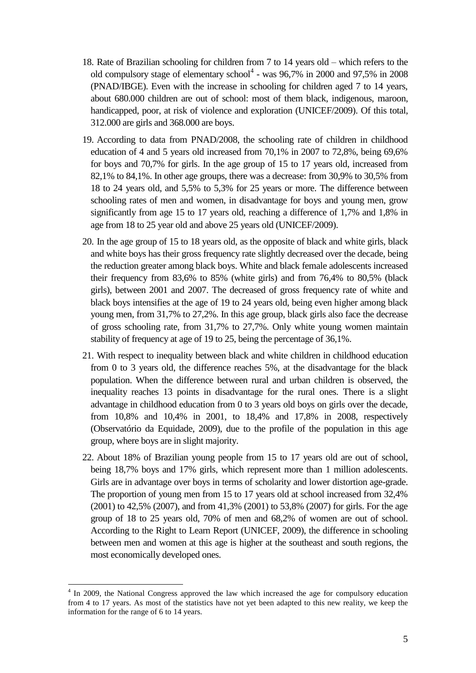- 18. Rate of Brazilian schooling for children from 7 to 14 years old which refers to the old compulsory stage of elementary  $\text{school}^4$  - was 96,7% in 2000 and 97,5% in 2008 (PNAD/IBGE). Even with the increase in schooling for children aged 7 to 14 years, about 680.000 children are out of school: most of them black, indigenous, maroon, handicapped, poor, at risk of violence and exploration (UNICEF/2009). Of this total, 312.000 are girls and 368.000 are boys.
- 19. According to data from PNAD/2008, the schooling rate of children in childhood education of 4 and 5 years old increased from 70,1% in 2007 to 72,8%, being 69,6% for boys and 70,7% for girls. In the age group of 15 to 17 years old, increased from 82,1% to 84,1%. In other age groups, there was a decrease: from 30,9% to 30,5% from 18 to 24 years old, and 5,5% to 5,3% for 25 years or more. The difference between schooling rates of men and women, in disadvantage for boys and young men, grow significantly from age 15 to 17 years old, reaching a difference of 1,7% and 1,8% in age from 18 to 25 year old and above 25 years old (UNICEF/2009).
- 20. In the age group of 15 to 18 years old, as the opposite of black and white girls, black and white boys has their gross frequency rate slightly decreased over the decade, being the reduction greater among black boys. White and black female adolescents increased their frequency from 83,6% to 85% (white girls) and from 76,4% to 80,5% (black girls), between 2001 and 2007. The decreased of gross frequency rate of white and black boys intensifies at the age of 19 to 24 years old, being even higher among black young men, from 31,7% to 27,2%. In this age group, black girls also face the decrease of gross schooling rate, from 31,7% to 27,7%. Only white young women maintain stability of frequency at age of 19 to 25, being the percentage of 36,1%.
- 21. With respect to inequality between black and white children in childhood education from 0 to 3 years old, the difference reaches 5%, at the disadvantage for the black population. When the difference between rural and urban children is observed, the inequality reaches 13 points in disadvantage for the rural ones. There is a slight advantage in childhood education from 0 to 3 years old boys on girls over the decade, from 10,8% and 10,4% in 2001, to 18,4% and 17,8% in 2008, respectively (Observatório da Equidade, 2009), due to the profile of the population in this age group, where boys are in slight majority.
- 22. About 18% of Brazilian young people from 15 to 17 years old are out of school, being 18,7% boys and 17% girls, which represent more than 1 million adolescents. Girls are in advantage over boys in terms of scholarity and lower distortion age-grade. The proportion of young men from 15 to 17 years old at school increased from 32,4% (2001) to 42,5% (2007), and from 41,3% (2001) to 53,8% (2007) for girls. For the age group of 18 to 25 years old, 70% of men and 68,2% of women are out of school. According to the Right to Learn Report (UNICEF, 2009), the difference in schooling between men and women at this age is higher at the southeast and south regions, the most economically developed ones.

1

<sup>&</sup>lt;sup>4</sup> In 2009, the National Congress approved the law which increased the age for compulsory education from 4 to 17 years. As most of the statistics have not yet been adapted to this new reality, we keep the information for the range of 6 to 14 years.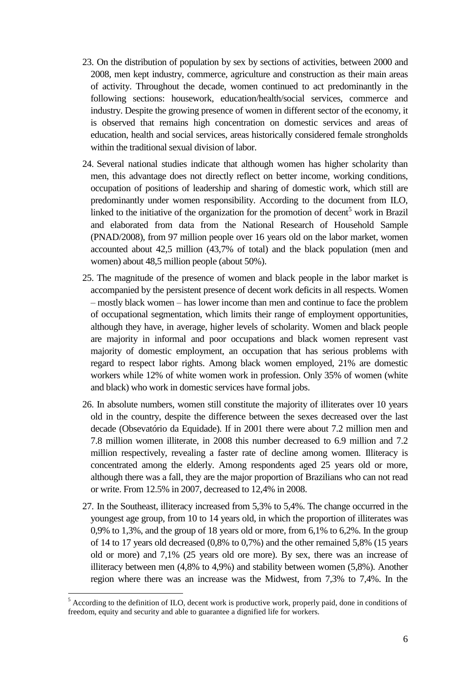- 23. On the distribution of population by sex by sections of activities, between 2000 and 2008, men kept industry, commerce, agriculture and construction as their main areas of activity. Throughout the decade, women continued to act predominantly in the following sections: housework, education/health/social services, commerce and industry. Despite the growing presence of women in different sector of the economy, it is observed that remains high concentration on domestic services and areas of education, health and social services, areas historically considered female strongholds within the traditional sexual division of labor.
- 24. Several national studies indicate that although women has higher scholarity than men, this advantage does not directly reflect on better income, working conditions, occupation of positions of leadership and sharing of domestic work, which still are predominantly under women responsibility. According to the document from ILO, linked to the initiative of the organization for the promotion of decent<sup>5</sup> work in Brazil and elaborated from data from the National Research of Household Sample (PNAD/2008), from 97 million people over 16 years old on the labor market, women accounted about 42,5 million (43,7% of total) and the black population (men and women) about 48,5 million people (about 50%).
- 25. The magnitude of the presence of women and black people in the labor market is accompanied by the persistent presence of decent work deficits in all respects. Women – mostly black women – has lower income than men and continue to face the problem of occupational segmentation, which limits their range of employment opportunities, although they have, in average, higher levels of scholarity. Women and black people are majority in informal and poor occupations and black women represent vast majority of domestic employment, an occupation that has serious problems with regard to respect labor rights. Among black women employed, 21% are domestic workers while 12% of white women work in profession. Only 35% of women (white and black) who work in domestic services have formal jobs.
- 26. In absolute numbers, women still constitute the majority of illiterates over 10 years old in the country, despite the difference between the sexes decreased over the last decade (Obsevatório da Equidade). If in 2001 there were about 7.2 million men and 7.8 million women illiterate, in 2008 this number decreased to 6.9 million and 7.2 million respectively, revealing a faster rate of decline among women. Illiteracy is concentrated among the elderly. Among respondents aged 25 years old or more, although there was a fall, they are the major proportion of Brazilians who can not read or write. From 12.5% in 2007, decreased to 12,4% in 2008.
- 27. In the Southeast, illiteracy increased from 5,3% to 5,4%. The change occurred in the youngest age group, from 10 to 14 years old, in which the proportion of illiterates was 0,9% to 1,3%, and the group of 18 years old or more, from 6,1% to 6,2%. In the group of 14 to 17 years old decreased (0,8% to 0,7%) and the other remained 5,8% (15 years old or more) and 7,1% (25 years old ore more). By sex, there was an increase of illiteracy between men (4,8% to 4,9%) and stability between women (5,8%). Another region where there was an increase was the Midwest, from 7,3% to 7,4%. In the

<u>.</u>

<sup>&</sup>lt;sup>5</sup> According to the definition of ILO, decent work is productive work, properly paid, done in conditions of freedom, equity and security and able to guarantee a dignified life for workers.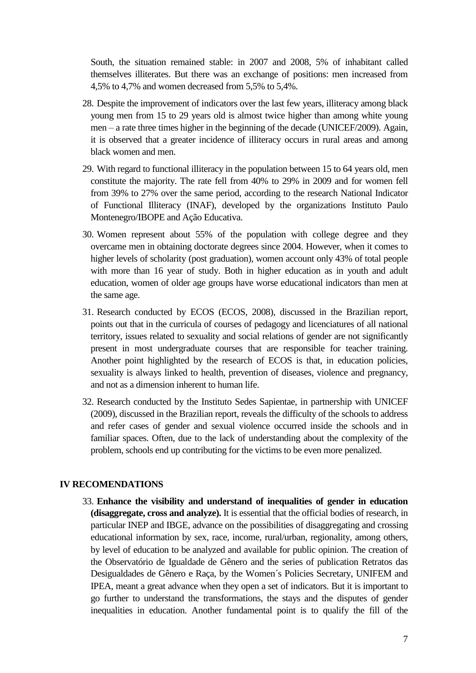South, the situation remained stable: in 2007 and 2008, 5% of inhabitant called themselves illiterates. But there was an exchange of positions: men increased from 4,5% to 4,7% and women decreased from 5,5% to 5,4%.

- 28. Despite the improvement of indicators over the last few years, illiteracy among black young men from 15 to 29 years old is almost twice higher than among white young men – a rate three times higher in the beginning of the decade (UNICEF/2009). Again, it is observed that a greater incidence of illiteracy occurs in rural areas and among black women and men.
- 29. With regard to functional illiteracy in the population between 15 to 64 years old, men constitute the majority. The rate fell from 40% to 29% in 2009 and for women fell from 39% to 27% over the same period, according to the research National Indicator of Functional Illiteracy (INAF), developed by the organizations Instituto Paulo Montenegro/IBOPE and Ação Educativa.
- 30. Women represent about 55% of the population with college degree and they overcame men in obtaining doctorate degrees since 2004. However, when it comes to higher levels of scholarity (post graduation), women account only 43% of total people with more than 16 year of study. Both in higher education as in youth and adult education, women of older age groups have worse educational indicators than men at the same age.
- 31. Research conducted by ECOS (ECOS, 2008), discussed in the Brazilian report, points out that in the curricula of courses of pedagogy and licenciatures of all national territory, issues related to sexuality and social relations of gender are not significantly present in most undergraduate courses that are responsible for teacher training. Another point highlighted by the research of ECOS is that, in education policies, sexuality is always linked to health, prevention of diseases, violence and pregnancy, and not as a dimension inherent to human life.
- 32. Research conducted by the Instituto Sedes Sapientae, in partnership with UNICEF (2009), discussed in the Brazilian report, reveals the difficulty of the schools to address and refer cases of gender and sexual violence occurred inside the schools and in familiar spaces. Often, due to the lack of understanding about the complexity of the problem, schools end up contributing for the victims to be even more penalized.

## **IV RECOMENDATIONS**

33. **Enhance the visibility and understand of inequalities of gender in education (disaggregate, cross and analyze).** It is essential that the official bodies of research, in particular INEP and IBGE, advance on the possibilities of disaggregating and crossing educational information by sex, race, income, rural/urban, regionality, among others, by level of education to be analyzed and available for public opinion. The creation of the Observatório de Igualdade de Gênero and the series of publication Retratos das Desigualdades de Gênero e Raça, by the Women´s Policies Secretary, UNIFEM and IPEA, meant a great advance when they open a set of indicators. But it is important to go further to understand the transformations, the stays and the disputes of gender inequalities in education. Another fundamental point is to qualify the fill of the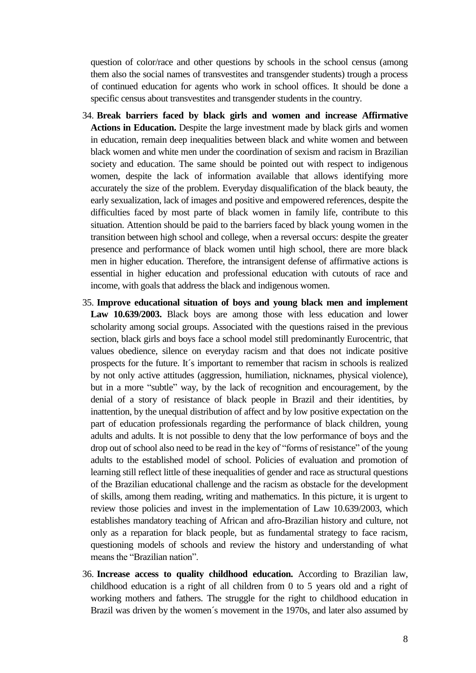question of color/race and other questions by schools in the school census (among them also the social names of transvestites and transgender students) trough a process of continued education for agents who work in school offices. It should be done a specific census about transvestites and transgender students in the country.

- 34. **Break barriers faced by black girls and women and increase Affirmative Actions in Education.** Despite the large investment made by black girls and women in education, remain deep inequalities between black and white women and between black women and white men under the coordination of sexism and racism in Brazilian society and education. The same should be pointed out with respect to indigenous women, despite the lack of information available that allows identifying more accurately the size of the problem. Everyday disqualification of the black beauty, the early sexualization, lack of images and positive and empowered references, despite the difficulties faced by most parte of black women in family life, contribute to this situation. Attention should be paid to the barriers faced by black young women in the transition between high school and college, when a reversal occurs: despite the greater presence and performance of black women until high school, there are more black men in higher education. Therefore, the intransigent defense of affirmative actions is essential in higher education and professional education with cutouts of race and income, with goals that address the black and indigenous women.
- 35. **Improve educational situation of boys and young black men and implement Law 10.639/2003.** Black boys are among those with less education and lower scholarity among social groups. Associated with the questions raised in the previous section, black girls and boys face a school model still predominantly Eurocentric, that values obedience, silence on everyday racism and that does not indicate positive prospects for the future. It´s important to remember that racism in schools is realized by not only active attitudes (aggression, humiliation, nicknames, physical violence), but in a more "subtle" way, by the lack of recognition and encouragement, by the denial of a story of resistance of black people in Brazil and their identities, by inattention, by the unequal distribution of affect and by low positive expectation on the part of education professionals regarding the performance of black children, young adults and adults. It is not possible to deny that the low performance of boys and the drop out of school also need to be read in the key of "forms of resistance" of the young adults to the established model of school. Policies of evaluation and promotion of learning still reflect little of these inequalities of gender and race as structural questions of the Brazilian educational challenge and the racism as obstacle for the development of skills, among them reading, writing and mathematics. In this picture, it is urgent to review those policies and invest in the implementation of Law 10.639/2003, which establishes mandatory teaching of African and afro-Brazilian history and culture, not only as a reparation for black people, but as fundamental strategy to face racism, questioning models of schools and review the history and understanding of what means the "Brazilian nation".
- 36. **Increase access to quality childhood education.** According to Brazilian law, childhood education is a right of all children from 0 to 5 years old and a right of working mothers and fathers. The struggle for the right to childhood education in Brazil was driven by the women's movement in the 1970s, and later also assumed by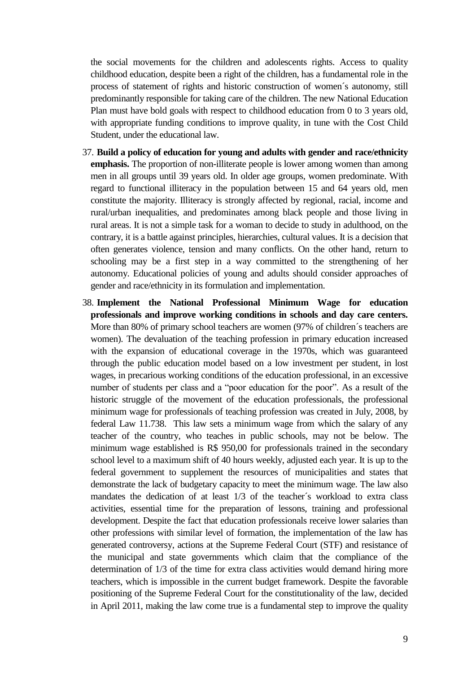the social movements for the children and adolescents rights. Access to quality childhood education, despite been a right of the children, has a fundamental role in the process of statement of rights and historic construction of women´s autonomy, still predominantly responsible for taking care of the children. The new National Education Plan must have bold goals with respect to childhood education from 0 to 3 years old, with appropriate funding conditions to improve quality, in tune with the Cost Child Student, under the educational law.

- 37. **Build a policy of education for young and adults with gender and race/ethnicity emphasis.** The proportion of non-illiterate people is lower among women than among men in all groups until 39 years old. In older age groups, women predominate. With regard to functional illiteracy in the population between 15 and 64 years old, men constitute the majority. Illiteracy is strongly affected by regional, racial, income and rural/urban inequalities, and predominates among black people and those living in rural areas. It is not a simple task for a woman to decide to study in adulthood, on the contrary, it is a battle against principles, hierarchies, cultural values. It is a decision that often generates violence, tension and many conflicts. On the other hand, return to schooling may be a first step in a way committed to the strengthening of her autonomy. Educational policies of young and adults should consider approaches of gender and race/ethnicity in its formulation and implementation.
- 38. **Implement the National Professional Minimum Wage for education professionals and improve working conditions in schools and day care centers.** More than 80% of primary school teachers are women (97% of children´s teachers are women). The devaluation of the teaching profession in primary education increased with the expansion of educational coverage in the 1970s, which was guaranteed through the public education model based on a low investment per student, in lost wages, in precarious working conditions of the education professional, in an excessive number of students per class and a "poor education for the poor". As a result of the historic struggle of the movement of the education professionals, the professional minimum wage for professionals of teaching profession was created in July, 2008, by federal Law 11.738. This law sets a minimum wage from which the salary of any teacher of the country, who teaches in public schools, may not be below. The minimum wage established is R\$ 950,00 for professionals trained in the secondary school level to a maximum shift of 40 hours weekly, adjusted each year. It is up to the federal government to supplement the resources of municipalities and states that demonstrate the lack of budgetary capacity to meet the minimum wage. The law also mandates the dedication of at least 1/3 of the teacher´s workload to extra class activities, essential time for the preparation of lessons, training and professional development. Despite the fact that education professionals receive lower salaries than other professions with similar level of formation, the implementation of the law has generated controversy, actions at the Supreme Federal Court (STF) and resistance of the municipal and state governments which claim that the compliance of the determination of 1/3 of the time for extra class activities would demand hiring more teachers, which is impossible in the current budget framework. Despite the favorable positioning of the Supreme Federal Court for the constitutionality of the law, decided in April 2011, making the law come true is a fundamental step to improve the quality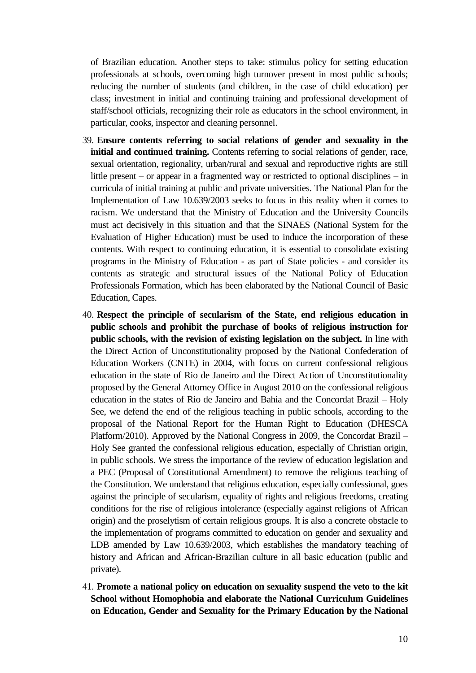of Brazilian education. Another steps to take: stimulus policy for setting education professionals at schools, overcoming high turnover present in most public schools; reducing the number of students (and children, in the case of child education) per class; investment in initial and continuing training and professional development of staff/school officials, recognizing their role as educators in the school environment, in particular, cooks, inspector and cleaning personnel.

- 39. **Ensure contents referring to social relations of gender and sexuality in the initial and continued training.** Contents referring to social relations of gender, race, sexual orientation, regionality, urban/rural and sexual and reproductive rights are still little present – or appear in a fragmented way or restricted to optional disciplines – in curricula of initial training at public and private universities. The National Plan for the Implementation of Law 10.639/2003 seeks to focus in this reality when it comes to racism. We understand that the Ministry of Education and the University Councils must act decisively in this situation and that the SINAES (National System for the Evaluation of Higher Education) must be used to induce the incorporation of these contents. With respect to continuing education, it is essential to consolidate existing programs in the Ministry of Education - as part of State policies - and consider its contents as strategic and structural issues of the National Policy of Education Professionals Formation, which has been elaborated by the National Council of Basic Education, Capes.
- 40. **Respect the principle of secularism of the State, end religious education in public schools and prohibit the purchase of books of religious instruction for public schools, with the revision of existing legislation on the subject.** In line with the Direct Action of Unconstitutionality proposed by the National Confederation of Education Workers (CNTE) in 2004, with focus on current confessional religious education in the state of Rio de Janeiro and the Direct Action of Unconstitutionality proposed by the General Attorney Office in August 2010 on the confessional religious education in the states of Rio de Janeiro and Bahia and the Concordat Brazil – Holy See, we defend the end of the religious teaching in public schools, according to the proposal of the National Report for the Human Right to Education (DHESCA Platform/2010). Approved by the National Congress in 2009, the Concordat Brazil – Holy See granted the confessional religious education, especially of Christian origin, in public schools. We stress the importance of the review of education legislation and a PEC (Proposal of Constitutional Amendment) to remove the religious teaching of the Constitution. We understand that religious education, especially confessional, goes against the principle of secularism, equality of rights and religious freedoms, creating conditions for the rise of religious intolerance (especially against religions of African origin) and the proselytism of certain religious groups. It is also a concrete obstacle to the implementation of programs committed to education on gender and sexuality and LDB amended by Law 10.639/2003, which establishes the mandatory teaching of history and African and African-Brazilian culture in all basic education (public and private).
- 41. **Promote a national policy on education on sexuality suspend the veto to the kit School without Homophobia and elaborate the National Curriculum Guidelines on Education, Gender and Sexuality for the Primary Education by the National**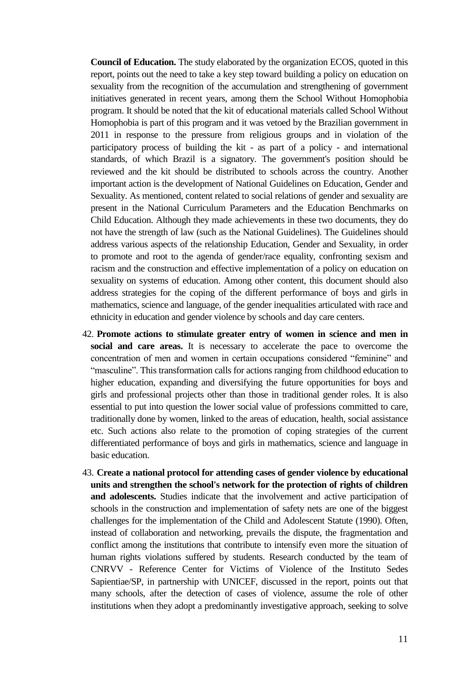**Council of Education.** The study elaborated by the organization ECOS, quoted in this report, points out the need to take a key step toward building a policy on education on sexuality from the recognition of the accumulation and strengthening of government initiatives generated in recent years, among them the School Without Homophobia program. It should be noted that the kit of educational materials called School Without Homophobia is part of this program and it was vetoed by the Brazilian government in 2011 in response to the pressure from religious groups and in violation of the participatory process of building the kit - as part of a policy - and international standards, of which Brazil is a signatory. The government's position should be reviewed and the kit should be distributed to schools across the country. Another important action is the development of National Guidelines on Education, Gender and Sexuality. As mentioned, content related to social relations of gender and sexuality are present in the National Curriculum Parameters and the Education Benchmarks on Child Education. Although they made achievements in these two documents, they do not have the strength of law (such as the National Guidelines). The Guidelines should address various aspects of the relationship Education, Gender and Sexuality, in order to promote and root to the agenda of gender/race equality, confronting sexism and racism and the construction and effective implementation of a policy on education on sexuality on systems of education. Among other content, this document should also address strategies for the coping of the different performance of boys and girls in mathematics, science and language, of the gender inequalities articulated with race and ethnicity in education and gender violence by schools and day care centers.

- 42. **Promote actions to stimulate greater entry of women in science and men in social and care areas.** It is necessary to accelerate the pace to overcome the concentration of men and women in certain occupations considered "feminine" and "masculine". This transformation calls for actions ranging from childhood education to higher education, expanding and diversifying the future opportunities for boys and girls and professional projects other than those in traditional gender roles. It is also essential to put into question the lower social value of professions committed to care, traditionally done by women, linked to the areas of education, health, social assistance etc. Such actions also relate to the promotion of coping strategies of the current differentiated performance of boys and girls in mathematics, science and language in basic education.
- 43. **Create a national protocol for attending cases of gender violence by educational units and strengthen the school's network for the protection of rights of children and adolescents.** Studies indicate that the involvement and active participation of schools in the construction and implementation of safety nets are one of the biggest challenges for the implementation of the Child and Adolescent Statute (1990). Often, instead of collaboration and networking, prevails the dispute, the fragmentation and conflict among the institutions that contribute to intensify even more the situation of human rights violations suffered by students. Research conducted by the team of CNRVV - Reference Center for Victims of Violence of the Instituto Sedes Sapientiae/SP, in partnership with UNICEF, discussed in the report, points out that many schools, after the detection of cases of violence, assume the role of other institutions when they adopt a predominantly investigative approach, seeking to solve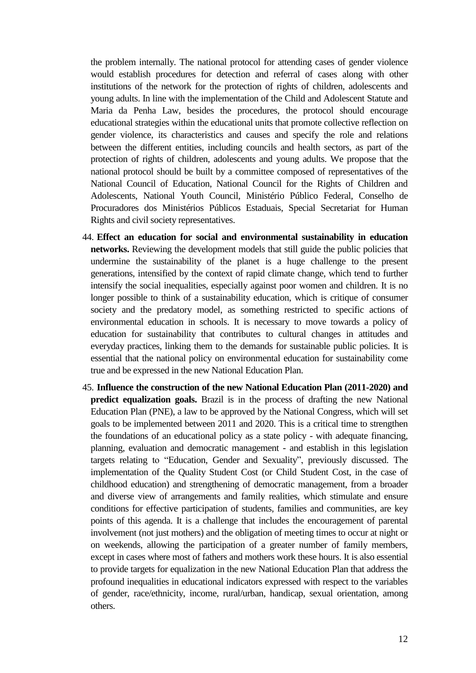the problem internally. The national protocol for attending cases of gender violence would establish procedures for detection and referral of cases along with other institutions of the network for the protection of rights of children, adolescents and young adults. In line with the implementation of the Child and Adolescent Statute and Maria da Penha Law, besides the procedures, the protocol should encourage educational strategies within the educational units that promote collective reflection on gender violence, its characteristics and causes and specify the role and relations between the different entities, including councils and health sectors, as part of the protection of rights of children, adolescents and young adults. We propose that the national protocol should be built by a committee composed of representatives of the National Council of Education, National Council for the Rights of Children and Adolescents, National Youth Council, Ministério Público Federal, Conselho de Procuradores dos Ministérios Públicos Estaduais, Special Secretariat for Human Rights and civil society representatives.

- 44. **Effect an education for social and environmental sustainability in education networks.** Reviewing the development models that still guide the public policies that undermine the sustainability of the planet is a huge challenge to the present generations, intensified by the context of rapid climate change, which tend to further intensify the social inequalities, especially against poor women and children. It is no longer possible to think of a sustainability education, which is critique of consumer society and the predatory model, as something restricted to specific actions of environmental education in schools. It is necessary to move towards a policy of education for sustainability that contributes to cultural changes in attitudes and everyday practices, linking them to the demands for sustainable public policies. It is essential that the national policy on environmental education for sustainability come true and be expressed in the new National Education Plan.
- 45. **Influence the construction of the new National Education Plan (2011-2020) and predict equalization goals.** Brazil is in the process of drafting the new National Education Plan (PNE), a law to be approved by the National Congress, which will set goals to be implemented between 2011 and 2020. This is a critical time to strengthen the foundations of an educational policy as a state policy - with adequate financing, planning, evaluation and democratic management - and establish in this legislation targets relating to "Education, Gender and Sexuality", previously discussed. The implementation of the Quality Student Cost (or Child Student Cost, in the case of childhood education) and strengthening of democratic management, from a broader and diverse view of arrangements and family realities, which stimulate and ensure conditions for effective participation of students, families and communities, are key points of this agenda. It is a challenge that includes the encouragement of parental involvement (not just mothers) and the obligation of meeting times to occur at night or on weekends, allowing the participation of a greater number of family members, except in cases where most of fathers and mothers work these hours. It is also essential to provide targets for equalization in the new National Education Plan that address the profound inequalities in educational indicators expressed with respect to the variables of gender, race/ethnicity, income, rural/urban, handicap, sexual orientation, among others.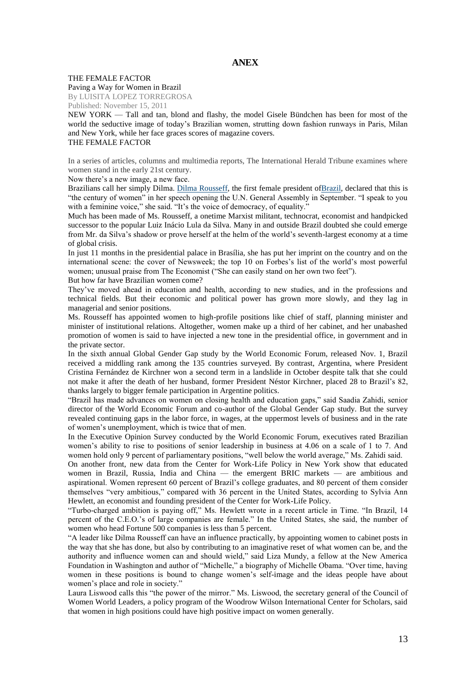## **ANEX**

THE FEMALE FACTOR

Paving a Way for Women in Brazil

By LUISITA LOPEZ TORREGROSA Published: November 15, 2011

NEW YORK — Tall and tan, blond and flashy, the model Gisele Bündchen has been for most of the world the seductive image of today's Brazilian women, strutting down fashion runways in Paris, Milan and New York, while her face graces scores of magazine covers. THE FEMALE FACTOR

In a series of articles, columns and multimedia reports, The International Herald Tribune examines where women stand in the early 21st century.

#### Now there's a new image, a new face.

Brazilians call her simply Dilma. [Dilma Rousseff,](http://topics.nytimes.com/top/reference/timestopics/people/r/dilma_rousseff/index.html?inline=nyt-per) the first female president o[fBrazil,](http://topics.nytimes.com/top/news/international/countriesandterritories/brazil/index.html?inline=nyt-geo) declared that this is "the century of women" in her speech opening the U.N. General Assembly in September. "I speak to you with a feminine voice," she said. "It's the voice of democracy, of equality."

Much has been made of Ms. Rousseff, a onetime Marxist militant, technocrat, economist and handpicked successor to the popular Luiz Inácio Lula da Silva. Many in and outside Brazil doubted she could emerge from Mr. da Silva's shadow or prove herself at the helm of the world's seventh-largest economy at a time of global crisis.

In just 11 months in the presidential palace in Brasília, she has put her imprint on the country and on the international scene: the cover of Newsweek; the top 10 on Forbes's list of the world's most powerful women; unusual praise from The Economist ("She can easily stand on her own two feet").

But how far have Brazilian women come?

They've moved ahead in education and health, according to new studies, and in the professions and technical fields. But their economic and political power has grown more slowly, and they lag in managerial and senior positions.

Ms. Rousseff has appointed women to high-profile positions like chief of staff, planning minister and minister of institutional relations. Altogether, women make up a third of her cabinet, and her unabashed promotion of women is said to have injected a new tone in the presidential office, in government and in the private sector.

In the sixth annual Global Gender Gap study by the World Economic Forum, released Nov. 1, Brazil received a middling rank among the 135 countries surveyed. By contrast, Argentina, where President Cristina Fernández de Kirchner won a second term in a landslide in October despite talk that she could not make it after the death of her husband, former President Néstor Kirchner, placed 28 to Brazil's 82, thanks largely to bigger female participation in Argentine politics.

"Brazil has made advances on women on closing health and education gaps," said Saadia Zahidi, senior director of the World Economic Forum and co-author of the Global Gender Gap study. But the survey revealed continuing gaps in the labor force, in wages, at the uppermost levels of business and in the rate of women's unemployment, which is twice that of men.

In the Executive Opinion Survey conducted by the World Economic Forum, executives rated Brazilian women's ability to rise to positions of senior leadership in business at 4.06 on a scale of 1 to 7. And women hold only 9 percent of parliamentary positions, "well below the world average," Ms. Zahidi said.

On another front, new data from the Center for Work-Life Policy in New York show that educated women in Brazil, Russia, India and China — the emergent BRIC markets — are ambitious and aspirational. Women represent 60 percent of Brazil's college graduates, and 80 percent of them consider themselves "very ambitious," compared with 36 percent in the United States, according to Sylvia Ann Hewlett, an economist and founding president of the Center for Work-Life Policy.

"Turbo-charged ambition is paying off," Ms. Hewlett wrote in a recent article in Time. "In Brazil, 14 percent of the C.E.O.'s of large companies are female.‖ In the United States, she said, the number of women who head Fortune 500 companies is less than 5 percent.

―A leader like Dilma Rousseff can have an influence practically, by appointing women to cabinet posts in the way that she has done, but also by contributing to an imaginative reset of what women can be, and the authority and influence women can and should wield," said Liza Mundy, a fellow at the New America Foundation in Washington and author of "Michelle," a biography of Michelle Obama. "Over time, having women in these positions is bound to change women's self-image and the ideas people have about women's place and role in society."

Laura Liswood calls this "the power of the mirror." Ms. Liswood, the secretary general of the Council of Women World Leaders, a policy program of the Woodrow Wilson International Center for Scholars, said that women in high positions could have high positive impact on women generally.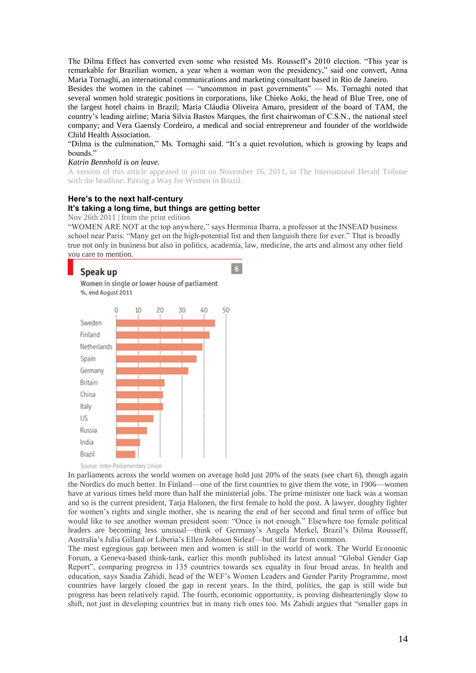The Dilma Effect has converted even some who resisted Ms. Rousseff's 2010 election. "This year is remarkable for Brazilian women, a year when a woman won the presidency," said one convert, Anna Maria Tornaghi, an international communications and marketing consultant based in Rio de Janeiro.

Besides the women in the cabinet — "uncommon in past governments" — Ms. Tornaghi noted that several women hold strategic positions in corporations, like Chieko Aoki, the head of Blue Tree, one of the largest hotel chains in Brazil; Maria Cláudia Oliveira Amaro, president of the board of TAM, the country's leading airline; Maria Silvia Bastos Marques, the first chairwoman of C.S.N., the national steel company; and Vera Gaensly Cordeiro, a medical and social entrepreneur and founder of the worldwide Child Health Association.

"Dilma is the culmination," Ms. Tornaghi said. "It's a quiet revolution, which is growing by leaps and bounds."

### *Katrin Bennhold is on leave.*

A version of this article appeared in print on November 16, 2011, in The International Herald Tribune with the headline: Paving a Way for Women in Brazil.

### **Here's to the next half-century**

#### **It's taking a long time, but things are getting better**

Nov 26th 2011 | from the print edition

"WOMEN ARE NOT at the top anywhere," says Herminia Ibarra, a professor at the INSEAD business school near Paris. "Many get on the high-potential list and then languish there for ever." That is broadly true not only in business but also in politics, academia, law, medicine, the arts and almost any other field you care to mention.

6

## Speak up

Women in single or lower house of parliament %, end August 2011



In parliaments across the world women on average hold just 20% of the seats (see chart 6), though again the Nordics do much better. In Finland—one of the first countries to give them the vote, in 1906—women have at various times held more than half the ministerial jobs. The prime minister one back was a woman and so is the current president, Tarja Halonen, the first female to hold the post. A lawyer, doughty fighter for women's rights and single mother, she is nearing the end of her second and final term of office but would like to see another woman president soon: "Once is not enough." Elsewhere too female political leaders are becoming less unusual—think of Germany's Angela Merkel, Brazil's Dilma Rousseff, Australia's Julia Gillard or Liberia's Ellen Johnson Sirleaf—but still far from common.

The most egregious gap between men and women is still in the world of work. The World Economic Forum, a Geneva-based think-tank, earlier this month published its latest annual "Global Gender Gap Report", comparing progress in 135 countries towards sex equality in four broad areas. In health and education, says Saadia Zahidi, head of the WEF's Women Leaders and Gender Parity Programme, most countries have largely closed the gap in recent years. In the third, politics, the gap is still wide but progress has been relatively rapid. The fourth, economic opportunity, is proving dishearteningly slow to shift, not just in developing countries but in many rich ones too. Ms Zahidi argues that "smaller gaps in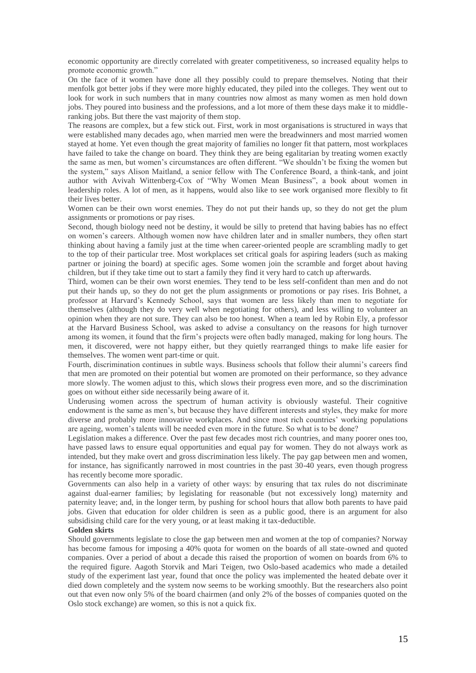economic opportunity are directly correlated with greater competitiveness, so increased equality helps to promote economic growth."

On the face of it women have done all they possibly could to prepare themselves. Noting that their menfolk got better jobs if they were more highly educated, they piled into the colleges. They went out to look for work in such numbers that in many countries now almost as many women as men hold down jobs. They poured into business and the professions, and a lot more of them these days make it to middleranking jobs. But there the vast majority of them stop.

The reasons are complex, but a few stick out. First, work in most organisations is structured in ways that were established many decades ago, when married men were the breadwinners and most married women stayed at home. Yet even though the great majority of families no longer fit that pattern, most workplaces have failed to take the change on board. They think they are being egalitarian by treating women exactly the same as men, but women's circumstances are often different. "We shouldn't be fixing the women but the system," says Alison Maitland, a senior fellow with The Conference Board, a think-tank, and joint author with Avivah Wittenberg-Cox of "Why Women Mean Business", a book about women in leadership roles. A lot of men, as it happens, would also like to see work organised more flexibly to fit their lives better.

Women can be their own worst enemies. They do not put their hands up, so they do not get the plum assignments or promotions or pay rises.

Second, though biology need not be destiny, it would be silly to pretend that having babies has no effect on women's careers. Although women now have children later and in smaller numbers, they often start thinking about having a family just at the time when career-oriented people are scrambling madly to get to the top of their particular tree. Most workplaces set critical goals for aspiring leaders (such as making partner or joining the board) at specific ages. Some women join the scramble and forget about having children, but if they take time out to start a family they find it very hard to catch up afterwards.

Third, women can be their own worst enemies. They tend to be less self-confident than men and do not put their hands up, so they do not get the plum assignments or promotions or pay rises. Iris Bohnet, a professor at Harvard's Kennedy School, says that women are less likely than men to negotiate for themselves (although they do very well when negotiating for others), and less willing to volunteer an opinion when they are not sure. They can also be too honest. When a team led by Robin Ely, a professor at the Harvard Business School, was asked to advise a consultancy on the reasons for high turnover among its women, it found that the firm's projects were often badly managed, making for long hours. The men, it discovered, were not happy either, but they quietly rearranged things to make life easier for themselves. The women went part-time or quit.

Fourth, discrimination continues in subtle ways. Business schools that follow their alumni's careers find that men are promoted on their potential but women are promoted on their performance, so they advance more slowly. The women adjust to this, which slows their progress even more, and so the discrimination goes on without either side necessarily being aware of it.

Underusing women across the spectrum of human activity is obviously wasteful. Their cognitive endowment is the same as men's, but because they have different interests and styles, they make for more diverse and probably more innovative workplaces. And since most rich countries' working populations are ageing, women's talents will be needed even more in the future. So what is to be done?

Legislation makes a difference. Over the past few decades most rich countries, and many poorer ones too, have passed laws to ensure equal opportunities and equal pay for women. They do not always work as intended, but they make overt and gross discrimination less likely. The pay gap between men and women, for instance, has significantly narrowed in most countries in the past 30-40 years, even though progress has recently become more sporadic.

Governments can also help in a variety of other ways: by ensuring that tax rules do not discriminate against dual-earner families; by legislating for reasonable (but not excessively long) maternity and paternity leave; and, in the longer term, by pushing for school hours that allow both parents to have paid jobs. Given that education for older children is seen as a public good, there is an argument for also subsidising child care for the very young, or at least making it tax-deductible.

### **Golden skirts**

Should governments legislate to close the gap between men and women at the top of companies? Norway has become famous for imposing a 40% quota for women on the boards of all state-owned and quoted companies. Over a period of about a decade this raised the proportion of women on boards from 6% to the required figure. Aagoth Storvik and Mari Teigen, two Oslo-based academics who made a detailed study of the experiment last year, found that once the policy was implemented the heated debate over it died down completely and the system now seems to be working smoothly. But the researchers also point out that even now only 5% of the board chairmen (and only 2% of the bosses of companies quoted on the Oslo stock exchange) are women, so this is not a quick fix.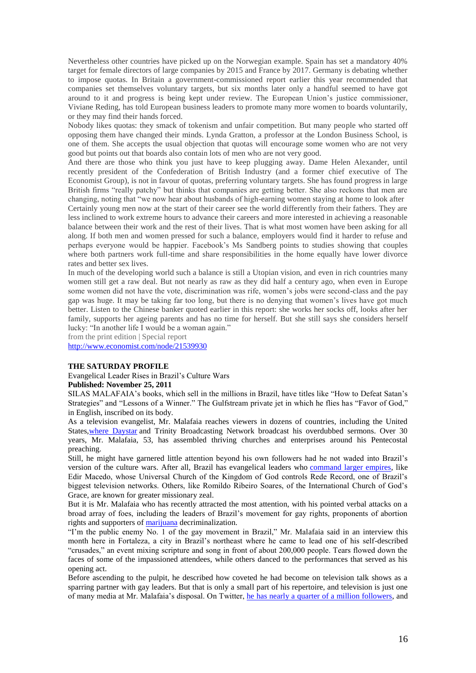Nevertheless other countries have picked up on the Norwegian example. Spain has set a mandatory 40% target for female directors of large companies by 2015 and France by 2017. Germany is debating whether to impose quotas. In Britain a government-commissioned report earlier this year recommended that companies set themselves voluntary targets, but six months later only a handful seemed to have got around to it and progress is being kept under review. The European Union's justice commissioner, Viviane Reding, has told European business leaders to promote many more women to boards voluntarily, or they may find their hands forced.

Nobody likes quotas: they smack of tokenism and unfair competition. But many people who started off opposing them have changed their minds. Lynda Gratton, a professor at the London Business School, is one of them. She accepts the usual objection that quotas will encourage some women who are not very good but points out that boards also contain lots of men who are not very good.

And there are those who think you just have to keep plugging away. Dame Helen Alexander, until recently president of the Confederation of British Industry (and a former chief executive of The Economist Group), is not in favour of quotas, preferring voluntary targets. She has found progress in large British firms "really patchy" but thinks that companies are getting better. She also reckons that men are changing, noting that "we now hear about husbands of high-earning women staying at home to look after Certainly young men now at the start of their career see the world differently from their fathers. They are less inclined to work extreme hours to advance their careers and more interested in achieving a reasonable balance between their work and the rest of their lives. That is what most women have been asking for all along. If both men and women pressed for such a balance, employers would find it harder to refuse and perhaps everyone would be happier. Facebook's Ms Sandberg points to studies showing that couples where both partners work full-time and share responsibilities in the home equally have lower divorce rates and better sex lives.

In much of the developing world such a balance is still a Utopian vision, and even in rich countries many women still get a raw deal. But not nearly as raw as they did half a century ago, when even in Europe some women did not have the vote, discrimination was rife, women's jobs were second-class and the pay gap was huge. It may be taking far too long, but there is no denying that women's lives have got much better. Listen to the Chinese banker quoted earlier in this report: she works her socks off, looks after her family, supports her ageing parents and has no time for herself. But she still says she considers herself lucky: "In another life I would be a woman again."

from the print edition | Special report

<http://www.economist.com/node/21539930>

### **THE SATURDAY PROFILE**

Evangelical Leader Rises in Brazil's Culture Wars

### **Published: November 25, 2011**

SILAS MALAFAIA's books, which sell in the millions in Brazil, have titles like "How to Defeat Satan's Strategies" and "Lessons of a Winner." The Gulfstream private jet in which he flies has "Favor of God," in English, inscribed on its body.

As a television evangelist, Mr. Malafaia reaches viewers in dozens of countries, including the United States[,where Daystar](http://www.daystar.com/shows/all-ministries/1422-silas-malafaia) and Trinity Broadcasting Network broadcast his overdubbed sermons. Over 30 years, Mr. Malafaia, 53, has assembled thriving churches and enterprises around his Pentecostal preaching.

Still, he might have garnered little attention beyond his own followers had he not waded into Brazil's version of the culture wars. After all, Brazil has evangelical leaders who [command larger empires,](http://thelede.blogs.nytimes.com/2010/07/22/rebuilding-solomons-temple-in-sao-paulo/) like Edir Macedo, whose Universal Church of the Kingdom of God controls Rede Record, one of Brazil's biggest television networks. Others, like Romildo Ribeiro Soares, of the International Church of God's Grace, are known for greater missionary zeal.

But it is Mr. Malafaia who has recently attracted the most attention, with his pointed verbal attacks on a broad array of foes, including the leaders of Brazil's movement for gay rights, proponents of abortion rights and supporters of [marijuana](http://topics.nytimes.com/top/reference/timestopics/subjects/m/marijuana/index.html?inline=nyt-classifier) decriminalization.

 $T<sub>1</sub>$  m the public enemy No. 1 of the gay movement in Brazil," Mr. Malafaia said in an interview this month here in Fortaleza, a city in Brazil's northeast where he came to lead one of his self-described ―crusades,‖ an event mixing scripture and song in front of about 200,000 people. Tears flowed down the faces of some of the impassioned attendees, while others danced to the performances that served as his opening act.

Before ascending to the pulpit, he described how coveted he had become on television talk shows as a sparring partner with gay leaders. But that is only a small part of his repertoire, and television is just one of many media at Mr. Malafaia's disposal. On Twitter, [he has nearly a quarter of a million followers,](https://twitter.com/#!/PastorMalafaia) and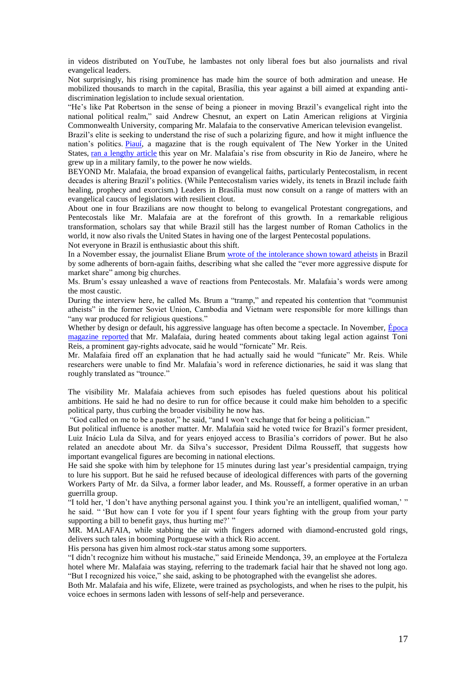in videos distributed on YouTube, he lambastes not only liberal foes but also journalists and rival evangelical leaders.

Not surprisingly, his rising prominence has made him the source of both admiration and unease. He mobilized thousands to march in the capital, Brasília, this year against a bill aimed at expanding antidiscrimination legislation to include sexual orientation.

―He's like Pat Robertson in the sense of being a pioneer in moving Brazil's evangelical right into the national political realm," said Andrew Chesnut, an expert on Latin American religions at Virginia Commonwealth University, comparing Mr. Malafaia to the conservative American television evangelist.

Brazil's elite is seeking to understand the rise of such a polarizing figure, and how it might influence the nation's politics. [Piauí,](http://revistapiaui.estadao.com.br/edicao-60) a magazine that is the rough equivalent of The New Yorker in the United States, [ran a lengthy article](http://revistapiaui.estadao.com.br/edicao-60/anais-da-religiao/vitoria-em-cristo) this year on Mr. Malafaia's rise from obscurity in Rio de Janeiro, where he grew up in a military family, to the power he now wields.

BEYOND Mr. Malafaia, the broad expansion of evangelical faiths, particularly Pentecostalism, in recent decades is altering Brazil's politics. (While Pentecostalism varies widely, its tenets in Brazil include faith healing, prophecy and exorcism.) Leaders in Brasília must now consult on a range of matters with an evangelical caucus of legislators with resilient clout.

About one in four Brazilians are now thought to belong to evangelical Protestant congregations, and Pentecostals like Mr. Malafaia are at the forefront of this growth. In a remarkable religious transformation, scholars say that while Brazil still has the largest number of Roman Catholics in the world, it now also rivals the United States in having one of the largest Pentecostal populations.

Not everyone in Brazil is enthusiastic about this shift.

In a November essay, the journalist Eliane Brum [wrote of the intolerance shown toward atheists](http://revistaepoca.globo.com/Sociedade/noticia/2011/11/dura-vida-dos-ateus-em-um-brasil-cada-vez-mais-evangelico.html) in Brazil by some adherents of born-again faiths, describing what she called the "ever more aggressive dispute for market share" among big churches.

Ms. Brum's essay unleashed a wave of reactions from Pentecostals. Mr. Malafaia's words were among the most caustic.

During the interview here, he called Ms. Brum a "tramp," and repeated his contention that "communist" atheists" in the former Soviet Union, Cambodia and Vietnam were responsible for more killings than "any war produced for religious questions."

Whether by design or default, his aggressive language has often become a spectacle. In November, *Época* [magazine reported](http://revistaepoca.globo.com/Sociedade/noticia/2011/11/silas-malafaia-diz-que-vai-fornicar-toni-reis-lider-da-causa-gay.html) that Mr. Malafaia, during heated comments about taking legal action against Toni Reis, a prominent gay-rights advocate, said he would "fornicate" Mr. Reis.

Mr. Malafaia fired off an explanation that he had actually said he would "funicate" Mr. Reis. While researchers were unable to find Mr. Malafaia's word in reference dictionaries, he said it was slang that roughly translated as "trounce."

The visibility Mr. Malafaia achieves from such episodes has fueled questions about his political ambitions. He said he had no desire to run for office because it could make him beholden to a specific political party, thus curbing the broader visibility he now has.

"God called on me to be a pastor," he said, "and I won't exchange that for being a politician."

But political influence is another matter. Mr. Malafaia said he voted twice for Brazil's former president, Luiz Inácio Lula da Silva, and for years enjoyed access to Brasília's corridors of power. But he also related an anecdote about Mr. da Silva's successor, President Dilma Rousseff, that suggests how important evangelical figures are becoming in national elections.

He said she spoke with him by telephone for 15 minutes during last year's presidential campaign, trying to lure his support. But he said he refused because of ideological differences with parts of the governing Workers Party of Mr. da Silva, a former labor leader, and Ms. Rousseff, a former operative in an urban guerrilla group.

"I told her, 'I don't have anything personal against you. I think you're an intelligent, qualified woman,'" he said. "But how can I vote for you if I spent four years fighting with the group from your party supporting a bill to benefit gays, thus hurting me?' "

MR. MALAFAIA, while stabbing the air with fingers adorned with diamond-encrusted gold rings, delivers such tales in booming Portuguese with a thick Rio accent.

His persona has given him almost rock-star status among some supporters.

"I didn't recognize him without his mustache," said Erineide Mendonça, 39, an employee at the Fortaleza hotel where Mr. Malafaia was staying, referring to the trademark facial hair that he shaved not long ago. ―But I recognized his voice,‖ she said, asking to be photographed with the evangelist she adores.

Both Mr. Malafaia and his wife, Elizete, were trained as psychologists, and when he rises to the pulpit, his voice echoes in sermons laden with lessons of self-help and perseverance.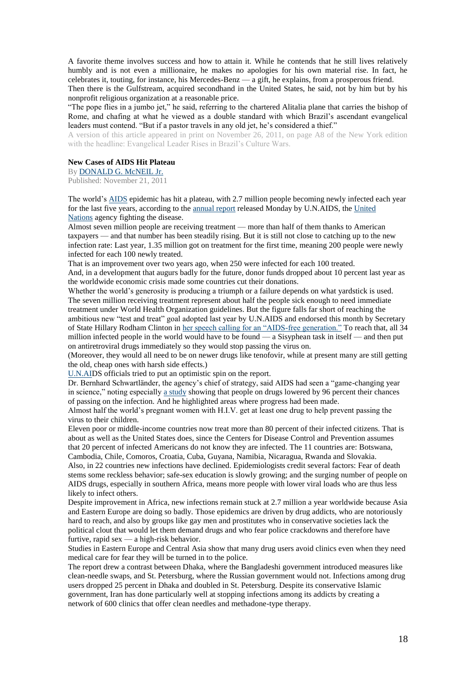A favorite theme involves success and how to attain it. While he contends that he still lives relatively humbly and is not even a millionaire, he makes no apologies for his own material rise. In fact, he celebrates it, touting, for instance, his Mercedes-Benz — a gift, he explains, from a prosperous friend.

Then there is the Gulfstream, acquired secondhand in the United States, he said, not by him but by his nonprofit religious organization at a reasonable price.

"The pope flies in a jumbo jet," he said, referring to the chartered Alitalia plane that carries the bishop of Rome, and chafing at what he viewed as a double standard with which Brazil's ascendant evangelical leaders must contend. "But if a pastor travels in any old jet, he's considered a thief."

A version of this article appeared in print on November 26, 2011, on page A8 of the New York edition with the headline: Evangelical Leader Rises in Brazil's Culture Wars.

#### **New Cases of AIDS Hit Plateau**

By [DONALD G. McNEIL Jr.](http://topics.nytimes.com/top/reference/timestopics/people/m/donald_g_jr_mcneil/index.html?inline=nyt-per)

Published: November 21, 2011

The world's [AIDS](http://health.nytimes.com/health/guides/disease/aids/overview.html?inline=nyt-classifier) epidemic has hit a plateau, with 2.7 million people becoming newly infected each year for the last five years, according to the [annual report](http://www.unaids.org/en/media/unaids/contentassets/documents/unaidspublication/2011/JC2216_WorldAIDSday_report_2011_en.pdf) released Monday by U.N.AIDS, the [United](http://topics.nytimes.com/top/reference/timestopics/organizations/u/united_nations/index.html?inline=nyt-org)  [Nations](http://topics.nytimes.com/top/reference/timestopics/organizations/u/united_nations/index.html?inline=nyt-org) agency fighting the disease.

Almost seven million people are receiving treatment — more than half of them thanks to American taxpayers — and that number has been steadily rising. But it is still not close to catching up to the new infection rate: Last year, 1.35 million got on treatment for the first time, meaning 200 people were newly infected for each 100 newly treated.

That is an improvement over two years ago, when 250 were infected for each 100 treated.

And, in a development that augurs badly for the future, donor funds dropped about 10 percent last year as the worldwide economic crisis made some countries cut their donations.

Whether the world's generosity is producing a triumph or a failure depends on what yardstick is used. The seven million receiving treatment represent about half the people sick enough to need immediate treatment under World Health Organization guidelines. But the figure falls far short of reaching the ambitious new "test and treat" goal adopted last year by U.N.AIDS and endorsed this month by Secretary of State Hillary Rodham Clinton in her speech calling for an "AIDS-free generation." To reach that, all 34 million infected people in the world would have to be found — a Sisyphean task in itself — and then put on antiretroviral drugs immediately so they would stop passing the virus on.

(Moreover, they would all need to be on newer drugs like tenofovir, while at present many are still getting the old, cheap ones with harsh side effects.)

[U.N.AID](http://u.n.ai/)S officials tried to put an optimistic spin on the report.

Dr. Bernhard Schwartländer, the agency's chief of strategy, said AIDS had seen a "game-changing year in science," noting especially [a study](http://www.nytimes.com/2011/05/13/health/research/13hiv.html?_r=1&scp=1&sq=hptn%20052&st=cse) showing that people on drugs lowered by 96 percent their chances of passing on the infection. And he highlighted areas where progress had been made.

Almost half the world's pregnant women with H.I.V. get at least one drug to help prevent passing the virus to their children.

Eleven poor or middle-income countries now treat more than 80 percent of their infected citizens. That is about as well as the United States does, since the Centers for Disease Control and Prevention assumes that 20 percent of infected Americans do not know they are infected. The 11 countries are: Botswana, Cambodia, Chile, Comoros, Croatia, Cuba, Guyana, Namibia, Nicaragua, Rwanda and Slovakia.

Also, in 22 countries new infections have declined. Epidemiologists credit several factors: Fear of death stems some reckless behavior; safe-sex education is slowly growing; and the surging number of people on AIDS drugs, especially in southern Africa, means more people with lower viral loads who are thus less likely to infect others.

Despite improvement in Africa, new infections remain stuck at 2.7 million a year worldwide because Asia and Eastern Europe are doing so badly. Those epidemics are driven by drug addicts, who are notoriously hard to reach, and also by groups like gay men and prostitutes who in conservative societies lack the political clout that would let them demand drugs and who fear police crackdowns and therefore have furtive, rapid sex — a high-risk behavior.

Studies in Eastern Europe and Central Asia show that many drug users avoid clinics even when they need medical care for fear they will be turned in to the police.

The report drew a contrast between Dhaka, where the Bangladeshi government introduced measures like clean-needle swaps, and St. Petersburg, where the Russian government would not. Infections among drug users dropped 25 percent in Dhaka and doubled in St. Petersburg. Despite its conservative Islamic government, Iran has done particularly well at stopping infections among its addicts by creating a network of 600 clinics that offer clean needles and methadone-type therapy.